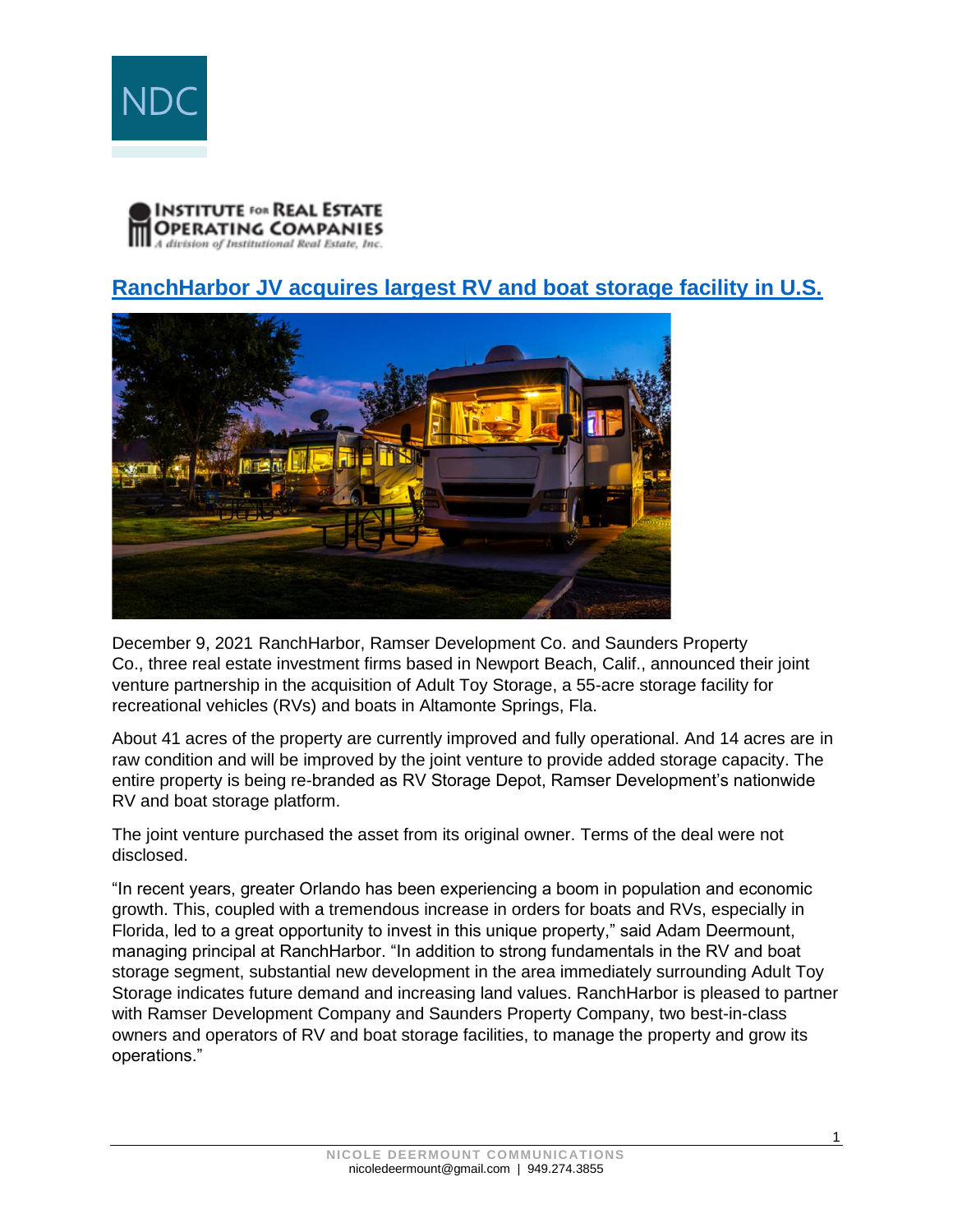



## **[RanchHarbor JV acquires largest RV and boat storage facility in U.S.](https://irei.com/news/ranchharbor-jv-acquires-largest-rv-boat-storage-facility-u-s/)**



December 9, 2021 RanchHarbor, Ramser Development Co. and Saunders Property Co., three real estate investment firms based in Newport Beach, Calif., announced their joint venture partnership in the acquisition of Adult Toy Storage, a 55-acre storage facility for recreational vehicles (RVs) and boats in Altamonte Springs, Fla.

About 41 acres of the property are currently improved and fully operational. And 14 acres are in raw condition and will be improved by the joint venture to provide added storage capacity. The entire property is being re-branded as RV Storage Depot, Ramser Development's nationwide RV and boat storage platform.

The joint venture purchased the asset from its original owner. Terms of the deal were not disclosed.

"In recent years, greater Orlando has been experiencing a boom in population and economic growth. This, coupled with a tremendous increase in orders for boats and RVs, especially in Florida, led to a great opportunity to invest in this unique property," said Adam Deermount, managing principal at RanchHarbor. "In addition to strong fundamentals in the RV and boat storage segment, substantial new development in the area immediately surrounding Adult Toy Storage indicates future demand and increasing land values. RanchHarbor is pleased to partner with Ramser Development Company and Saunders Property Company, two best-in-class owners and operators of RV and boat storage facilities, to manage the property and grow its operations."